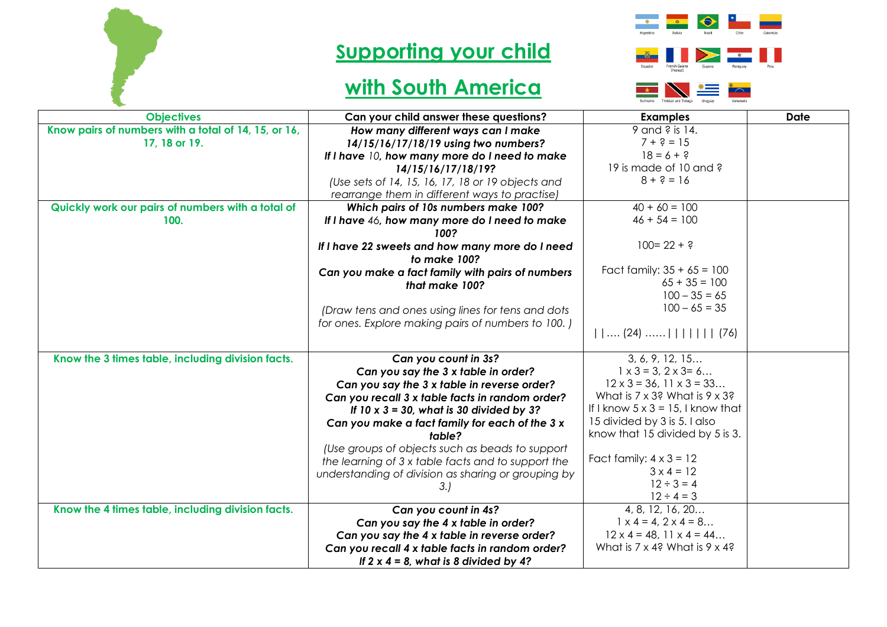

## **Supporting your child**

## **with South America**





| <b>Objectives</b>                                    | Can your child answer these questions?                                                                  | <b>Examples</b>                                                    | <b>Date</b> |
|------------------------------------------------------|---------------------------------------------------------------------------------------------------------|--------------------------------------------------------------------|-------------|
| Know pairs of numbers with a total of 14, 15, or 16, | How many different ways can I make                                                                      | 9 and ? is 14.                                                     |             |
| 17, 18 or 19.                                        | 14/15/16/17/18/19 using two numbers?                                                                    | $7 + ? = 15$                                                       |             |
|                                                      | If I have 10, how many more do I need to make                                                           | $18 = 6 + ?$                                                       |             |
|                                                      | 14/15/16/17/18/19?                                                                                      | 19 is made of 10 and ?                                             |             |
|                                                      | (Use sets of 14, 15, 16, 17, 18 or 19 objects and                                                       | $8 + 3 = 16$                                                       |             |
|                                                      | rearrange them in different ways to practise)                                                           |                                                                    |             |
| Quickly work our pairs of numbers with a total of    | Which pairs of 10s numbers make 100?                                                                    | $40 + 60 = 100$                                                    |             |
| 100.                                                 | If I have 46, how many more do I need to make<br>100?                                                   | $46 + 54 = 100$                                                    |             |
|                                                      | If I have 22 sweets and how many more do I need<br>to make 100?                                         | $100 = 22 + ?$                                                     |             |
|                                                      | Can you make a fact family with pairs of numbers<br>that make 100?                                      | Fact family: $35 + 65 = 100$<br>$65 + 35 = 100$<br>$100 - 35 = 65$ |             |
|                                                      | (Draw tens and ones using lines for tens and dots<br>for ones. Explore making pairs of numbers to 100.) | $100 - 65 = 35$<br>$   $ (24) $             $ (76)                 |             |
| Know the 3 times table, including division facts.    | Can you count in 3s?                                                                                    | 3, 6, 9, 12, 15                                                    |             |
|                                                      | Can you say the 3 x table in order?                                                                     | $1 \times 3 = 3, 2 \times 3 = 6$                                   |             |
|                                                      | Can you say the 3 x table in reverse order?                                                             | $12 \times 3 = 36, 11 \times 3 = 33$                               |             |
|                                                      | Can you recall 3 x table facts in random order?                                                         | What is $7 \times 3$ ? What is $9 \times 3$ ?                      |             |
|                                                      | If $10 \times 3 = 30$ , what is 30 divided by 3?                                                        | If I know $5 \times 3 = 15$ , I know that                          |             |
|                                                      | Can you make a fact family for each of the 3 x                                                          | 15 divided by 3 is 5. I also                                       |             |
|                                                      | table?                                                                                                  | know that 15 divided by 5 is 3.                                    |             |
|                                                      | (Use groups of objects such as beads to support                                                         |                                                                    |             |
|                                                      | the learning of 3 x table facts and to support the                                                      | Fact family: $4 \times 3 = 12$                                     |             |
|                                                      | understanding of division as sharing or grouping by                                                     | $3 \times 4 = 12$                                                  |             |
|                                                      | 3.                                                                                                      | $12 \div 3 = 4$                                                    |             |
|                                                      |                                                                                                         | $12 \div 4 = 3$                                                    |             |
| Know the 4 times table, including division facts.    | Can you count in 4s?                                                                                    | 4, 8, 12, 16, 20                                                   |             |
|                                                      | Can you say the 4 x table in order?                                                                     | $1 \times 4 = 4$ , $2 \times 4 = 8$                                |             |
|                                                      | Can you say the 4 x table in reverse order?                                                             | $12 \times 4 = 48, 11 \times 4 = 44$                               |             |
|                                                      | Can you recall 4 x table facts in random order?                                                         | What is $7 \times 4$ ? What is $9 \times 4$ ?                      |             |
|                                                      | If $2 \times 4 = 8$ , what is 8 divided by 4?                                                           |                                                                    |             |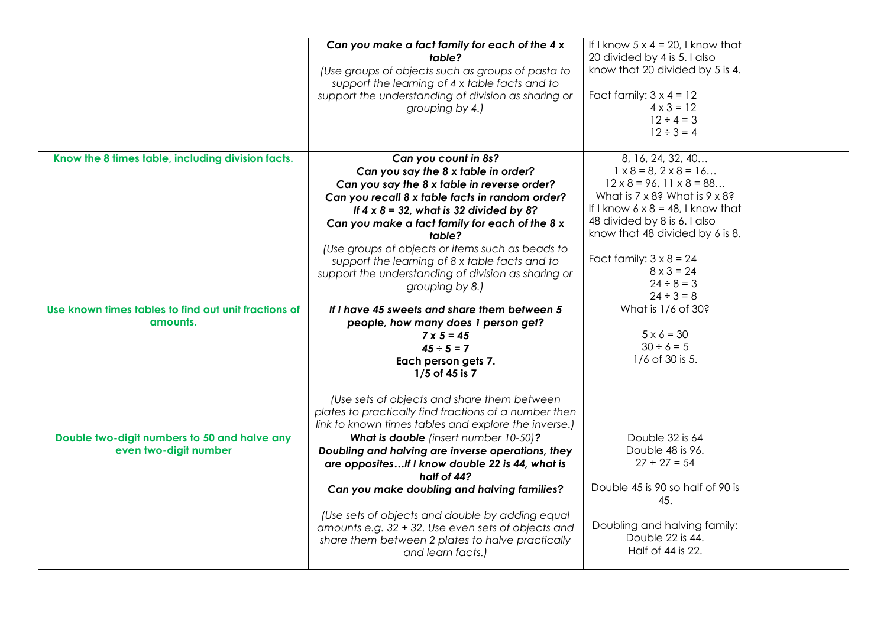|                                                      | Can you make a fact family for each of the 4 x                                                                                                                                 | If I know $5 \times 4 = 20$ , I know that                                                  |  |
|------------------------------------------------------|--------------------------------------------------------------------------------------------------------------------------------------------------------------------------------|--------------------------------------------------------------------------------------------|--|
|                                                      | table?                                                                                                                                                                         | 20 divided by 4 is 5. I also                                                               |  |
|                                                      | (Use groups of objects such as groups of pasta to<br>support the learning of 4 x table facts and to                                                                            | know that 20 divided by 5 is 4.                                                            |  |
|                                                      | support the understanding of division as sharing or                                                                                                                            | Fact family: $3 \times 4 = 12$                                                             |  |
|                                                      | grouping by 4.)                                                                                                                                                                | $4 \times 3 = 12$                                                                          |  |
|                                                      |                                                                                                                                                                                | $12 \div 4 = 3$                                                                            |  |
|                                                      |                                                                                                                                                                                | $12 \div 3 = 4$                                                                            |  |
|                                                      |                                                                                                                                                                                |                                                                                            |  |
| Know the 8 times table, including division facts.    | Can you count in 8s?                                                                                                                                                           | 8, 16, 24, 32, 40                                                                          |  |
|                                                      | Can you say the 8 x table in order?                                                                                                                                            | $1 \times 8 = 8, 2 \times 8 = 16$                                                          |  |
|                                                      | Can you say the 8 x table in reverse order?                                                                                                                                    | $12 \times 8 = 96, 11 \times 8 = 88$                                                       |  |
|                                                      | Can you recall 8 x table facts in random order?                                                                                                                                | What is $7 \times 8$ ? What is $9 \times 8$ ?<br>If I know $6 \times 8 = 48$ , I know that |  |
|                                                      | If $4 \times 8 = 32$ , what is 32 divided by 8?                                                                                                                                | 48 divided by 8 is 6. I also                                                               |  |
|                                                      | Can you make a fact family for each of the 8 x                                                                                                                                 | know that 48 divided by 6 is 8.                                                            |  |
|                                                      | table?                                                                                                                                                                         |                                                                                            |  |
|                                                      | (Use groups of objects or items such as beads to<br>support the learning of 8 x table facts and to                                                                             | Fact family: $3 \times 8 = 24$                                                             |  |
|                                                      | support the understanding of division as sharing or                                                                                                                            | $8 \times 3 = 24$                                                                          |  |
|                                                      | grouping by 8.)                                                                                                                                                                | $24 \div 8 = 3$                                                                            |  |
|                                                      |                                                                                                                                                                                | $24 \div 3 = 8$                                                                            |  |
| Use known times tables to find out unit fractions of | If I have 45 sweets and share them between 5                                                                                                                                   | What is 1/6 of 30?                                                                         |  |
| amounts.                                             | people, how many does 1 person get?                                                                                                                                            |                                                                                            |  |
|                                                      | $7 \times 5 = 45$                                                                                                                                                              | $5 \times 6 = 30$                                                                          |  |
|                                                      | $45 \div 5 = 7$                                                                                                                                                                | $30 \div 6 = 5$                                                                            |  |
|                                                      | Each person gets 7.                                                                                                                                                            | 1/6 of 30 is 5.                                                                            |  |
|                                                      | 1/5 of 45 is 7                                                                                                                                                                 |                                                                                            |  |
|                                                      | (Use sets of objects and share them between                                                                                                                                    |                                                                                            |  |
|                                                      | plates to practically find fractions of a number then                                                                                                                          |                                                                                            |  |
|                                                      | link to known times tables and explore the inverse.)                                                                                                                           |                                                                                            |  |
| Double two-digit numbers to 50 and halve any         | What is double (insert number 10-50)?                                                                                                                                          | Double 32 is 64                                                                            |  |
| even two-digit number                                | Doubling and halving are inverse operations, they                                                                                                                              | Double 48 is 96.                                                                           |  |
|                                                      | are opposites If I know double 22 is 44, what is                                                                                                                               | $27 + 27 = 54$                                                                             |  |
|                                                      | half of 44?                                                                                                                                                                    |                                                                                            |  |
|                                                      | Can you make doubling and halving families?                                                                                                                                    | Double 45 is 90 so half of 90 is<br>45.                                                    |  |
|                                                      | (Use sets of objects and double by adding equal<br>amounts e.g. 32 + 32. Use even sets of objects and<br>share them between 2 plates to halve practically<br>and learn facts.) | Doubling and halving family:<br>Double 22 is 44.<br>Half of 44 is 22.                      |  |